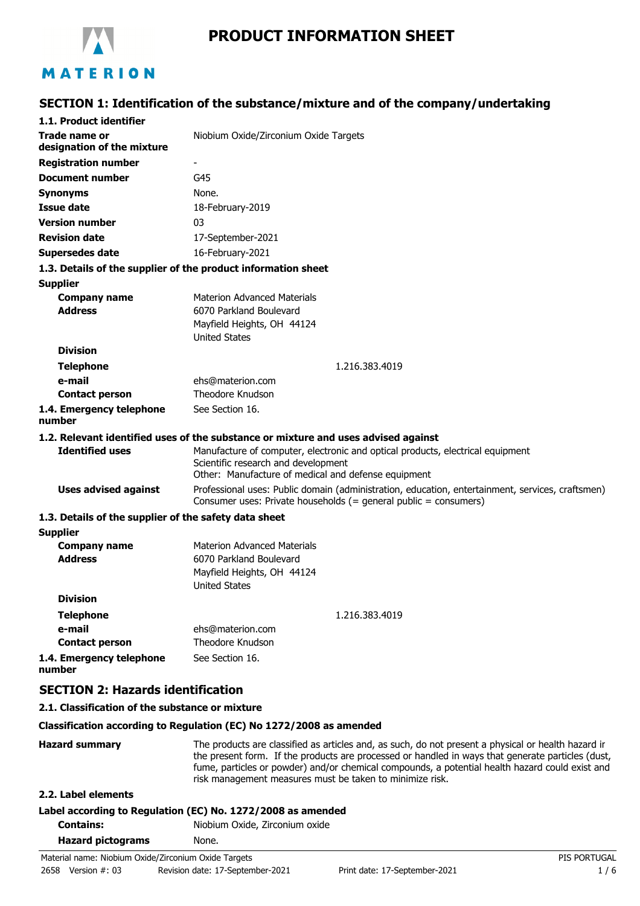

# **PRODUCT INFORMATION SHEET**

# **SECTION 1: Identification of the substance/mixture and of the company/undertaking**

|                                                       | $\mathbf{r}$ is recurred to the substance/mixture and or the company/ander                                                                                           |
|-------------------------------------------------------|----------------------------------------------------------------------------------------------------------------------------------------------------------------------|
| 1.1. Product identifier                               |                                                                                                                                                                      |
| Trade name or<br>designation of the mixture           | Niobium Oxide/Zirconium Oxide Targets                                                                                                                                |
| <b>Registration number</b>                            |                                                                                                                                                                      |
| <b>Document number</b>                                | G45                                                                                                                                                                  |
| <b>Synonyms</b>                                       | None.                                                                                                                                                                |
| Issue date                                            | 18-February-2019                                                                                                                                                     |
| <b>Version number</b>                                 | 03                                                                                                                                                                   |
| <b>Revision date</b>                                  | 17-September-2021                                                                                                                                                    |
| <b>Supersedes date</b>                                | 16-February-2021                                                                                                                                                     |
|                                                       | 1.3. Details of the supplier of the product information sheet                                                                                                        |
| <b>Supplier</b>                                       |                                                                                                                                                                      |
| <b>Company name</b>                                   | <b>Materion Advanced Materials</b>                                                                                                                                   |
| <b>Address</b>                                        | 6070 Parkland Boulevard                                                                                                                                              |
|                                                       | Mayfield Heights, OH 44124                                                                                                                                           |
| <b>Division</b>                                       | <b>United States</b>                                                                                                                                                 |
|                                                       |                                                                                                                                                                      |
| <b>Telephone</b><br>e-mail                            | 1.216.383.4019<br>ehs@materion.com                                                                                                                                   |
| <b>Contact person</b>                                 | Theodore Knudson                                                                                                                                                     |
| 1.4. Emergency telephone                              | See Section 16.                                                                                                                                                      |
| number                                                |                                                                                                                                                                      |
|                                                       | 1.2. Relevant identified uses of the substance or mixture and uses advised against                                                                                   |
| <b>Identified uses</b>                                | Manufacture of computer, electronic and optical products, electrical equipment                                                                                       |
|                                                       | Scientific research and development                                                                                                                                  |
|                                                       | Other: Manufacture of medical and defense equipment                                                                                                                  |
| <b>Uses advised against</b>                           | Professional uses: Public domain (administration, education, entertainment, services, craftsmen)<br>Consumer uses: Private households (= general public = consumers) |
| 1.3. Details of the supplier of the safety data sheet |                                                                                                                                                                      |
| <b>Supplier</b>                                       |                                                                                                                                                                      |
| <b>Company name</b>                                   | <b>Materion Advanced Materials</b>                                                                                                                                   |
| <b>Address</b>                                        | 6070 Parkland Boulevard                                                                                                                                              |
|                                                       | Mayfield Heights, OH 44124<br><b>United States</b>                                                                                                                   |
| <b>Division</b>                                       |                                                                                                                                                                      |
| <b>Telephone</b>                                      | 1.216.383.4019                                                                                                                                                       |
| e-mail                                                | ehs@materion.com                                                                                                                                                     |
| <b>Contact person</b>                                 | Theodore Knudson                                                                                                                                                     |
| 1.4. Emergency telephone<br>number                    | See Section 16.                                                                                                                                                      |
| <b>SECTION 2: Hazards identification</b>              |                                                                                                                                                                      |
| 2.1. Classification of the substance or mixture       |                                                                                                                                                                      |

#### **Classification according to Regulation (EC) No 1272/2008 as amended**

Hazard summary The products are classified as articles and, as such, do not present a physical or health hazard in the present form. If the products are processed or handled in ways that generate particles (dust, fume, particles or powder) and/or chemical compounds, a potential health hazard could exist and risk management measures must be taken to minimize risk.

### **2.2. Label elements**

## **Label according to Regulation (EC) No. 1272/2008 as amended**

**Contains:** Niobium Oxide, Zirconium oxide

| <b>Hazard pictograms</b> | None. |
|--------------------------|-------|
|                          |       |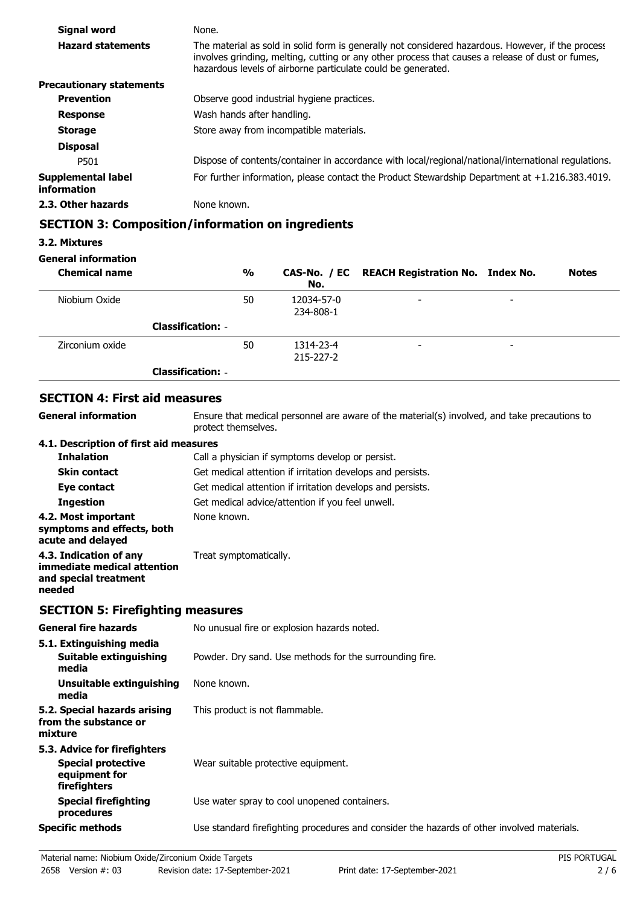| Signal word                       | None.                                                                                                                                                                                                                                                                 |
|-----------------------------------|-----------------------------------------------------------------------------------------------------------------------------------------------------------------------------------------------------------------------------------------------------------------------|
| <b>Hazard statements</b>          | The material as sold in solid form is generally not considered hazardous. However, if the process<br>involves grinding, melting, cutting or any other process that causes a release of dust or fumes,<br>hazardous levels of airborne particulate could be generated. |
| <b>Precautionary statements</b>   |                                                                                                                                                                                                                                                                       |
| <b>Prevention</b>                 | Observe good industrial hygiene practices.                                                                                                                                                                                                                            |
| <b>Response</b>                   | Wash hands after handling.                                                                                                                                                                                                                                            |
| <b>Storage</b>                    | Store away from incompatible materials.                                                                                                                                                                                                                               |
| <b>Disposal</b>                   |                                                                                                                                                                                                                                                                       |
| P501                              | Dispose of contents/container in accordance with local/regional/national/international regulations.                                                                                                                                                                   |
| Supplemental label<br>information | For further information, please contact the Product Stewardship Department at $+1.216.383.4019$ .                                                                                                                                                                     |
| 2.3. Other hazards                | None known.                                                                                                                                                                                                                                                           |

## **SECTION 3: Composition/information on ingredients**

#### **3.2. Mixtures**

#### **General information**

| <b>Chemical name</b> |                          | $\frac{0}{0}$ | No.                          | CAS-No. / EC REACH Registration No. Index No. |                          | <b>Notes</b> |
|----------------------|--------------------------|---------------|------------------------------|-----------------------------------------------|--------------------------|--------------|
| Niobium Oxide        |                          | 50            | 12034-57-0<br>234-808-1      | $\overline{\phantom{a}}$                      | $\overline{\phantom{0}}$ |              |
|                      | <b>Classification: -</b> |               |                              |                                               |                          |              |
| Zirconium oxide      |                          | 50            | 1314-23-4<br>$215 - 227 - 2$ | $\overline{\phantom{a}}$                      | $\overline{\phantom{0}}$ |              |
|                      | <b>Classification: -</b> |               |                              |                                               |                          |              |

# **SECTION 4: First aid measures**

**General information**

Ensure that medical personnel are aware of the material(s) involved, and take precautions to protect themselves.

#### **4.1. Description of first aid measures**

| <b>Inhalation</b>                                                                        | Call a physician if symptoms develop or persist.           |
|------------------------------------------------------------------------------------------|------------------------------------------------------------|
| <b>Skin contact</b>                                                                      | Get medical attention if irritation develops and persists. |
| Eye contact                                                                              | Get medical attention if irritation develops and persists. |
| <b>Ingestion</b>                                                                         | Get medical advice/attention if you feel unwell.           |
| 4.2. Most important<br>symptoms and effects, both<br>acute and delayed                   | None known.                                                |
| 4.3. Indication of any<br>immediate medical attention<br>and special treatment<br>needed | Treat symptomatically.                                     |

# **SECTION 5: Firefighting measures**

| <b>General fire hazards</b>                                                                | No unusual fire or explosion hazards noted.                                                |
|--------------------------------------------------------------------------------------------|--------------------------------------------------------------------------------------------|
| 5.1. Extinguishing media<br><b>Suitable extinguishing</b><br>media                         | Powder. Dry sand. Use methods for the surrounding fire.                                    |
| Unsuitable extinguishing<br>media                                                          | None known.                                                                                |
| 5.2. Special hazards arising<br>from the substance or<br>mixture                           | This product is not flammable.                                                             |
| 5.3. Advice for firefighters<br><b>Special protective</b><br>equipment for<br>firefighters | Wear suitable protective equipment.                                                        |
| <b>Special firefighting</b><br>procedures                                                  | Use water spray to cool unopened containers.                                               |
| <b>Specific methods</b>                                                                    | Use standard firefighting procedures and consider the hazards of other involved materials. |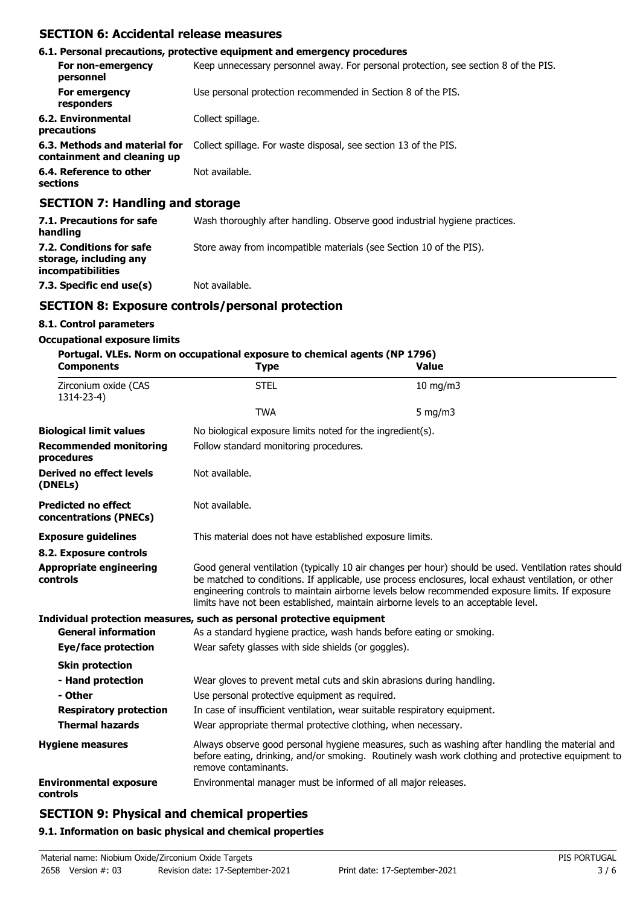## **SECTION 6: Accidental release measures**

|                                                                                                                                                                                                                                                                                                                                                                                      | 6.1. Personal precautions, protective equipment and emergency procedures            |
|--------------------------------------------------------------------------------------------------------------------------------------------------------------------------------------------------------------------------------------------------------------------------------------------------------------------------------------------------------------------------------------|-------------------------------------------------------------------------------------|
| For non-emergency<br>personnel                                                                                                                                                                                                                                                                                                                                                       | Keep unnecessary personnel away. For personal protection, see section 8 of the PIS. |
| For emergency<br>responders                                                                                                                                                                                                                                                                                                                                                          | Use personal protection recommended in Section 8 of the PIS.                        |
| 6.2. Environmental<br>precautions                                                                                                                                                                                                                                                                                                                                                    | Collect spillage.                                                                   |
| 6.3. Methods and material for<br>containment and cleaning up                                                                                                                                                                                                                                                                                                                         | Collect spillage. For waste disposal, see section 13 of the PIS.                    |
| 6.4. Reference to other<br>sections                                                                                                                                                                                                                                                                                                                                                  | Not available.                                                                      |
| $\overline{A}$ $\overline{B}$ $\overline{A}$ $\overline{B}$ $\overline{B}$ $\overline{B}$ $\overline{B}$ $\overline{B}$ $\overline{B}$ $\overline{B}$ $\overline{B}$ $\overline{B}$ $\overline{B}$ $\overline{B}$ $\overline{B}$ $\overline{B}$ $\overline{B}$ $\overline{B}$ $\overline{B}$ $\overline{B}$ $\overline{B}$ $\overline{B}$ $\overline{B}$ $\overline{B}$ $\overline{$ |                                                                                     |

### **SECTION 7: Handling and storage**

| 7.1. Precautions for safe<br>handling                                          | Wash thoroughly after handling. Observe good industrial hygiene practices. |
|--------------------------------------------------------------------------------|----------------------------------------------------------------------------|
| 7.2. Conditions for safe<br>storage, including any<br><i>incompatibilities</i> | Store away from incompatible materials (see Section 10 of the PIS).        |
| 7.3. Specific end use(s)                                                       | Not available.                                                             |

# **SECTION 8: Exposure controls/personal protection**

### **8.1. Control parameters**

#### **Occupational exposure limits**

# **Portugal. VLEs. Norm on occupational exposure to chemical agents (NP 1796)**

| <b>Components</b>                                    | <b>Type</b>                                                                                                                                                                                                                                                                                                                                                                                            | <b>Value</b>                                                                                                                                                                                        |  |  |  |
|------------------------------------------------------|--------------------------------------------------------------------------------------------------------------------------------------------------------------------------------------------------------------------------------------------------------------------------------------------------------------------------------------------------------------------------------------------------------|-----------------------------------------------------------------------------------------------------------------------------------------------------------------------------------------------------|--|--|--|
| Zirconium oxide (CAS<br>1314-23-4)                   | <b>STEL</b>                                                                                                                                                                                                                                                                                                                                                                                            | $10$ mg/m $3$                                                                                                                                                                                       |  |  |  |
|                                                      | <b>TWA</b>                                                                                                                                                                                                                                                                                                                                                                                             | 5 mg/m $3$                                                                                                                                                                                          |  |  |  |
| <b>Biological limit values</b>                       | No biological exposure limits noted for the ingredient(s).                                                                                                                                                                                                                                                                                                                                             |                                                                                                                                                                                                     |  |  |  |
| <b>Recommended monitoring</b><br>procedures          |                                                                                                                                                                                                                                                                                                                                                                                                        | Follow standard monitoring procedures.                                                                                                                                                              |  |  |  |
| <b>Derived no effect levels</b><br>(DNELs)           | Not available.                                                                                                                                                                                                                                                                                                                                                                                         |                                                                                                                                                                                                     |  |  |  |
| <b>Predicted no effect</b><br>concentrations (PNECs) | Not available.                                                                                                                                                                                                                                                                                                                                                                                         |                                                                                                                                                                                                     |  |  |  |
| <b>Exposure guidelines</b>                           |                                                                                                                                                                                                                                                                                                                                                                                                        | This material does not have established exposure limits.                                                                                                                                            |  |  |  |
| 8.2. Exposure controls                               |                                                                                                                                                                                                                                                                                                                                                                                                        |                                                                                                                                                                                                     |  |  |  |
| <b>Appropriate engineering</b><br>controls           | Good general ventilation (typically 10 air changes per hour) should be used. Ventilation rates should<br>be matched to conditions. If applicable, use process enclosures, local exhaust ventilation, or other<br>engineering controls to maintain airborne levels below recommended exposure limits. If exposure<br>limits have not been established, maintain airborne levels to an acceptable level. |                                                                                                                                                                                                     |  |  |  |
|                                                      | Individual protection measures, such as personal protective equipment                                                                                                                                                                                                                                                                                                                                  |                                                                                                                                                                                                     |  |  |  |
| <b>General information</b>                           |                                                                                                                                                                                                                                                                                                                                                                                                        | As a standard hygiene practice, wash hands before eating or smoking.                                                                                                                                |  |  |  |
| <b>Eye/face protection</b>                           | Wear safety glasses with side shields (or goggles).                                                                                                                                                                                                                                                                                                                                                    |                                                                                                                                                                                                     |  |  |  |
| <b>Skin protection</b>                               |                                                                                                                                                                                                                                                                                                                                                                                                        |                                                                                                                                                                                                     |  |  |  |
| - Hand protection                                    | Wear gloves to prevent metal cuts and skin abrasions during handling.                                                                                                                                                                                                                                                                                                                                  |                                                                                                                                                                                                     |  |  |  |
| - Other                                              | Use personal protective equipment as required.                                                                                                                                                                                                                                                                                                                                                         |                                                                                                                                                                                                     |  |  |  |
| <b>Respiratory protection</b>                        | In case of insufficient ventilation, wear suitable respiratory equipment.                                                                                                                                                                                                                                                                                                                              |                                                                                                                                                                                                     |  |  |  |
| <b>Thermal hazards</b>                               | Wear appropriate thermal protective clothing, when necessary.                                                                                                                                                                                                                                                                                                                                          |                                                                                                                                                                                                     |  |  |  |
| <b>Hygiene measures</b>                              | remove contaminants.                                                                                                                                                                                                                                                                                                                                                                                   | Always observe good personal hygiene measures, such as washing after handling the material and<br>before eating, drinking, and/or smoking. Routinely wash work clothing and protective equipment to |  |  |  |
| <b>Environmental exposure</b><br>controls            | Environmental manager must be informed of all major releases.                                                                                                                                                                                                                                                                                                                                          |                                                                                                                                                                                                     |  |  |  |

# **SECTION 9: Physical and chemical properties**

#### **9.1. Information on basic physical and chemical properties**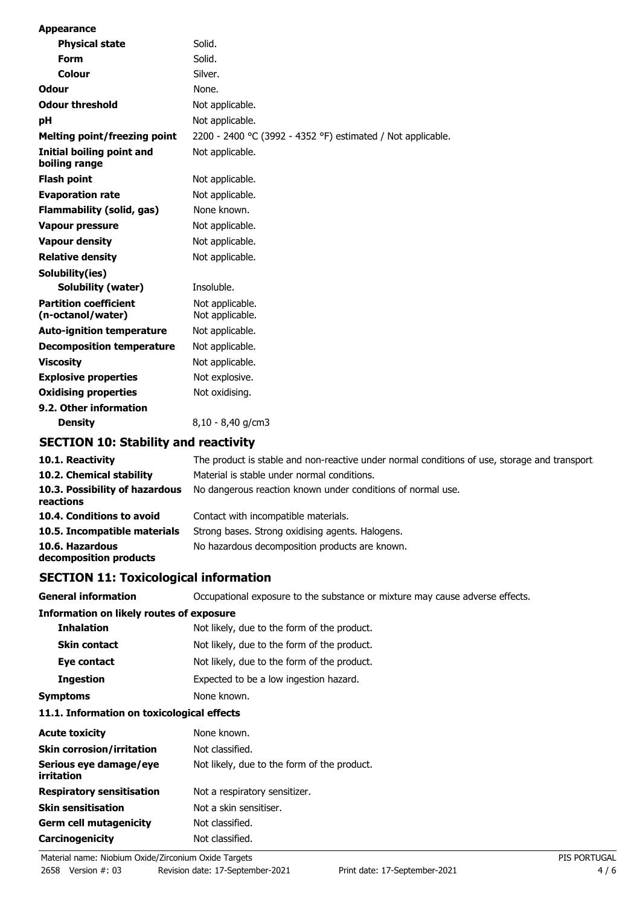| <b>Appearance</b>                                 |                                                                   |
|---------------------------------------------------|-------------------------------------------------------------------|
| <b>Physical state</b>                             | Solid.                                                            |
| Form                                              | Solid.                                                            |
| Colour                                            | Silver.                                                           |
| <b>Odour</b>                                      | None.                                                             |
| <b>Odour threshold</b>                            | Not applicable.                                                   |
| pH                                                | Not applicable.                                                   |
| <b>Melting point/freezing point</b>               | 2200 - 2400 °C (3992 - 4352 °F) estimated / Not applicable.       |
| Initial boiling point and<br>boiling range        | Not applicable.                                                   |
| <b>Flash point</b>                                | Not applicable.                                                   |
| <b>Evaporation rate</b>                           | Not applicable.                                                   |
| <b>Flammability (solid, gas)</b>                  | None known.                                                       |
| <b>Vapour pressure</b>                            | Not applicable.                                                   |
| <b>Vapour density</b>                             | Not applicable.                                                   |
| <b>Relative density</b>                           | Not applicable.                                                   |
| Solubility(ies)                                   |                                                                   |
| <b>Solubility (water)</b>                         | Insoluble.                                                        |
| <b>Partition coefficient</b><br>(n-octanol/water) | Not applicable.<br>Not applicable.                                |
| <b>Auto-ignition temperature</b>                  | Not applicable.                                                   |
| <b>Decomposition temperature</b>                  | Not applicable.                                                   |
| <b>Viscosity</b>                                  | Not applicable.                                                   |
| <b>Explosive properties</b>                       | Not explosive.                                                    |
| <b>Oxidising properties</b>                       | Not oxidising.                                                    |
| 9.2. Other information<br><b>Density</b>          | 8,10 - 8,40 g/cm3                                                 |
| <b>SECTION 10: Stability and reactivity</b>       |                                                                   |
| 10.1. Reactivity                                  | The product is stable and non-reactive under normal conditions of |
|                                                   | بمثلثاء ويممل ومسرم ويسطوس والطمام والمتراصل                      |

| 10.1. Reactivity                            | The product is stable and non-reactive under normal conditions of use, storage and transport |
|---------------------------------------------|----------------------------------------------------------------------------------------------|
| 10.2. Chemical stability                    | Material is stable under normal conditions.                                                  |
| 10.3. Possibility of hazardous<br>reactions | No dangerous reaction known under conditions of normal use.                                  |
| 10.4. Conditions to avoid                   | Contact with incompatible materials.                                                         |
| 10.5. Incompatible materials                | Strong bases. Strong oxidising agents. Halogens.                                             |
| 10.6. Hazardous<br>decomposition products   | No hazardous decomposition products are known.                                               |

# **SECTION 11: Toxicological information**

| <b>General information</b>                      | Occupational exposure to the substance or mixture may cause adverse effects. |
|-------------------------------------------------|------------------------------------------------------------------------------|
| <b>Information on likely routes of exposure</b> |                                                                              |
| <b>Inhalation</b>                               | Not likely, due to the form of the product.                                  |
| <b>Skin contact</b>                             | Not likely, due to the form of the product.                                  |
| Eye contact                                     | Not likely, due to the form of the product.                                  |
| <b>Ingestion</b>                                | Expected to be a low ingestion hazard.                                       |
| <b>Symptoms</b>                                 | None known.                                                                  |

### **11.1. Information on toxicological effects**

| <b>Acute toxicity</b>                | None known.                                 |
|--------------------------------------|---------------------------------------------|
| <b>Skin corrosion/irritation</b>     | Not classified.                             |
| Serious eye damage/eye<br>irritation | Not likely, due to the form of the product. |
| <b>Respiratory sensitisation</b>     | Not a respiratory sensitizer.               |
| <b>Skin sensitisation</b>            | Not a skin sensitiser.                      |
| <b>Germ cell mutagenicity</b>        | Not classified.                             |
| Carcinogenicity                      | Not classified.                             |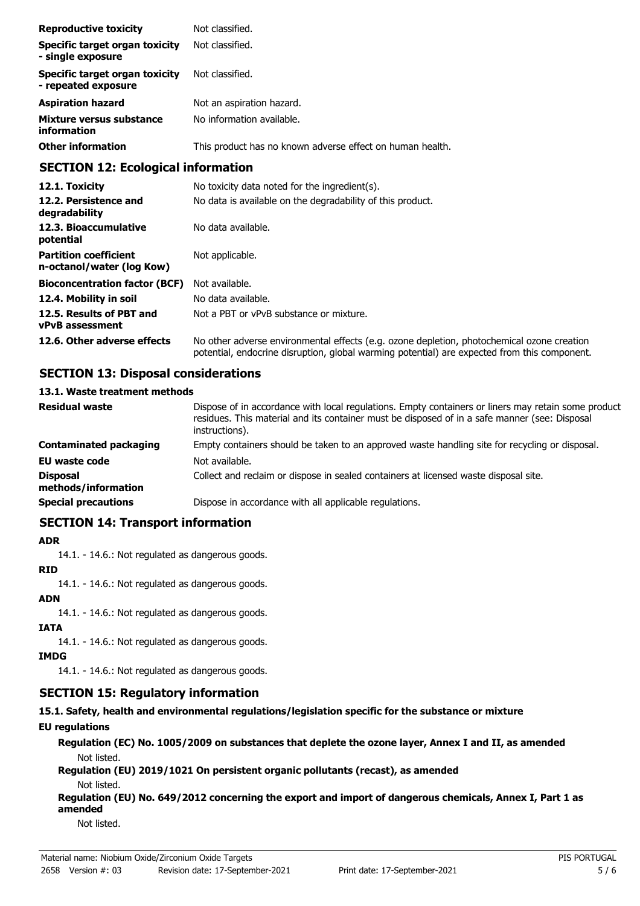| <b>Reproductive toxicity</b>                                 | Not classified.                                           |
|--------------------------------------------------------------|-----------------------------------------------------------|
| Specific target organ toxicity<br>- single exposure          | Not classified.                                           |
| <b>Specific target organ toxicity</b><br>- repeated exposure | Not classified.                                           |
| <b>Aspiration hazard</b>                                     | Not an aspiration hazard.                                 |
| Mixture versus substance<br>information                      | No information available.                                 |
| <b>Other information</b>                                     | This product has no known adverse effect on human health. |

## **SECTION 12: Ecological information**

| 12.1. Toxicity                                            | No toxicity data noted for the ingredient(s).                                                                                                                                              |
|-----------------------------------------------------------|--------------------------------------------------------------------------------------------------------------------------------------------------------------------------------------------|
| 12.2. Persistence and<br>degradability                    | No data is available on the degradability of this product.                                                                                                                                 |
| 12.3. Bioaccumulative<br>potential                        | No data available.                                                                                                                                                                         |
| <b>Partition coefficient</b><br>n-octanol/water (log Kow) | Not applicable.                                                                                                                                                                            |
| <b>Bioconcentration factor (BCF)</b>                      | Not available.                                                                                                                                                                             |
| 12.4. Mobility in soil                                    | No data available.                                                                                                                                                                         |
| 12.5. Results of PBT and<br><b>vPvB</b> assessment        | Not a PBT or vPvB substance or mixture.                                                                                                                                                    |
| 12.6. Other adverse effects                               | No other adverse environmental effects (e.g. ozone depletion, photochemical ozone creation<br>potential, endocrine disruption, global warming potential) are expected from this component. |

# **SECTION 13: Disposal considerations**

#### **13.1. Waste treatment methods**

| <b>Residual waste</b>                  | Dispose of in accordance with local regulations. Empty containers or liners may retain some product<br>residues. This material and its container must be disposed of in a safe manner (see: Disposal<br>instructions). |
|----------------------------------------|------------------------------------------------------------------------------------------------------------------------------------------------------------------------------------------------------------------------|
| <b>Contaminated packaging</b>          | Empty containers should be taken to an approved waste handling site for recycling or disposal.                                                                                                                         |
| <b>EU waste code</b>                   | Not available.                                                                                                                                                                                                         |
| <b>Disposal</b><br>methods/information | Collect and reclaim or dispose in sealed containers at licensed waste disposal site.                                                                                                                                   |
| <b>Special precautions</b>             | Dispose in accordance with all applicable regulations.                                                                                                                                                                 |

### **SECTION 14: Transport information**

#### **ADR**

14.1. - 14.6.: Not regulated as dangerous goods.

#### **RID**

14.1. - 14.6.: Not regulated as dangerous goods.

# **ADN**

14.1. - 14.6.: Not regulated as dangerous goods.

### **IATA**

14.1. - 14.6.: Not regulated as dangerous goods.

# **IMDG**

14.1. - 14.6.: Not regulated as dangerous goods.

# **SECTION 15: Regulatory information**

# **15.1. Safety, health and environmental regulations/legislation specific for the substance or mixture**

# **EU regulations**

**Regulation (EC) No. 1005/2009 on substances that deplete the ozone layer, Annex I and II, as amended** Not listed.

**Regulation (EU) 2019/1021 On persistent organic pollutants (recast), as amended** Not listed.

**Regulation (EU) No. 649/2012 concerning the export and import of dangerous chemicals, Annex I, Part 1 as amended**

Not listed.